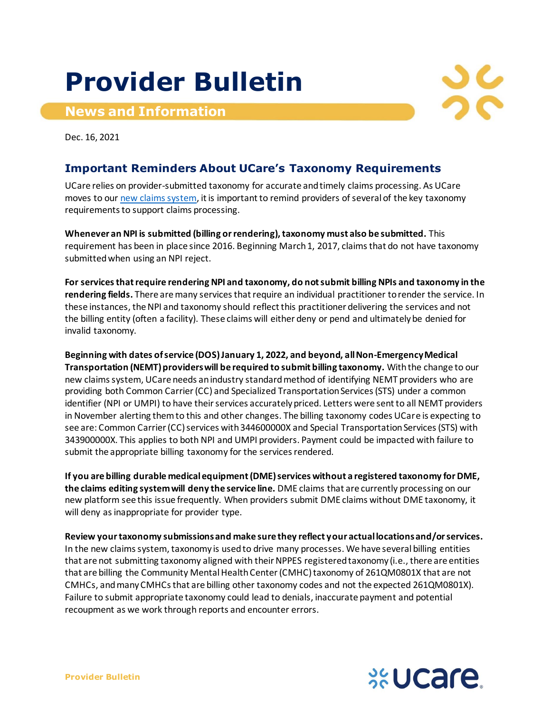## **Provider Bulletin**

## **News and Information**



Dec. 16, 2021

## **Important Reminders About UCare's Taxonomy Requirements**

UCare relies on provider-submitted taxonomy for accurate and timely claims processing. As UCare moves to ou[r new claims system,](https://www.ucare.org/providers/policies-resources/claims-billing/new-claims-system) it is important to remind providers of several of the key taxonomy requirements to support claims processing.

**Whenever an NPI is submitted (billing or rendering), taxonomy must also be submitted.** This requirement has been in place since 2016. Beginning March 1, 2017, claims that do not have taxonomy submitted when using an NPI reject.

**For services that require rendering NPI and taxonomy, do not submit billing NPIs and taxonomy in the rendering fields.** There are many services that require an individual practitioner to render the service. In these instances, the NPI and taxonomy should reflect this practitioner delivering the services and not the billing entity (often a facility). These claims will either deny or pend and ultimately be denied for invalid taxonomy.

**Beginning with dates of service (DOS) January 1, 2022, and beyond, all Non-Emergency Medical Transportation (NEMT) providers will be required to submit billing taxonomy.** With the change to our new claims system, UCare needs an industry standard method of identifying NEMT providers who are providing both Common Carrier (CC) and Specialized Transportation Services (STS) under a common identifier (NPI or UMPI) to have their services accurately priced. Letters were sent to all NEMT providers in November alerting them to this and other changes. The billing taxonomy codes UCare is expecting to see are: Common Carrier (CC) services with 344600000X and Special Transportation Services (STS) with 343900000X. This applies to both NPI and UMPI providers. Payment could be impacted with failure to submit the appropriate billing taxonomy for the services rendered.

**If you are billing durable medical equipment (DME) services without a registered taxonomy for DME, the claims editing system will deny the service line.** DME claims that are currently processing on our new platform see this issue frequently. When providers submit DME claims without DME taxonomy, it will deny as inappropriate for provider type.

**Review your taxonomy submissions and make sure they reflect your actual locations and/or services.**  In the new claims system, taxonomy is used to drive many processes. We have several billing entities that are not submitting taxonomy aligned with their NPPES registered taxonomy (i.e., there are entities that are billing the Community Mental Health Center (CMHC) taxonomy of 261QM0801X that are not CMHCs, and many CMHCs that are billing other taxonomy codes and not the expected 261QM0801X). Failure to submit appropriate taxonomy could lead to denials, inaccurate payment and potential recoupment as we work through reports and encounter errors.